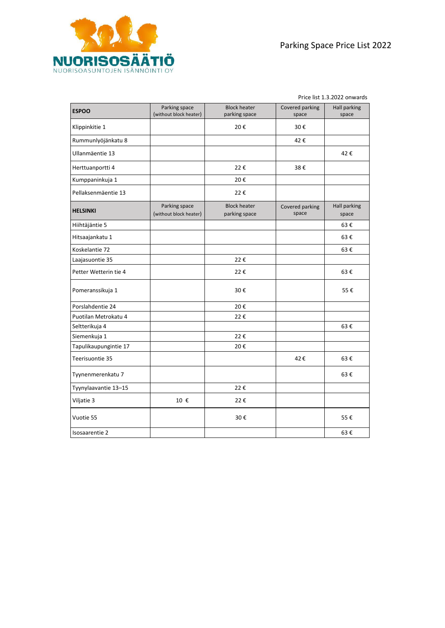Price list 1.3.2022 onwards

| <b>ESPOO</b>          | Parking space<br>(without block heater) | <b>Block heater</b><br>parking space | Covered parking<br>space | Hall parking<br>space        |
|-----------------------|-----------------------------------------|--------------------------------------|--------------------------|------------------------------|
| Klippinkitie 1        |                                         | 20€                                  | 30€                      |                              |
| Rummunlyöjänkatu 8    |                                         |                                      | 42€                      |                              |
| Ullanmäentie 13       |                                         |                                      |                          | 42€                          |
| Herttuanportti 4      |                                         | 22€                                  | 38€                      |                              |
| Kumppaninkuja 1       |                                         | 20€                                  |                          |                              |
| Pellaksenmäentie 13   |                                         | 22€                                  |                          |                              |
| <b>HELSINKI</b>       | Parking space<br>(without block heater) | <b>Block heater</b><br>parking space | Covered parking<br>space | <b>Hall parking</b><br>space |
| Hiihtäjäntie 5        |                                         |                                      |                          | 63€                          |
| Hitsaajankatu 1       |                                         |                                      |                          | 63€                          |
| Koskelantie 72        |                                         |                                      |                          | 63€                          |
| Laajasuontie 35       |                                         | 22€                                  |                          |                              |
| Petter Wetterin tie 4 |                                         | 22€                                  |                          | 63€                          |
| Pomeranssikuja 1      |                                         | 30€                                  |                          | 55€                          |
| Porslahdentie 24      |                                         | 20€                                  |                          |                              |
| Puotilan Metrokatu 4  |                                         | 22€                                  |                          |                              |
| Seltterikuja 4        |                                         |                                      |                          | 63€                          |
| Siemenkuja 1          |                                         | 22€                                  |                          |                              |
| Tapulikaupungintie 17 |                                         | 20€                                  |                          |                              |
| Teerisuontie 35       |                                         |                                      | 42€                      | 63€                          |
| Tyynenmerenkatu 7     |                                         |                                      |                          | 63€                          |
| Tyynylaavantie 13-15  |                                         | 22€                                  |                          |                              |
| Viljatie 3            | 10 €                                    | 22€                                  |                          |                              |
| Vuotie 55             |                                         | 30€                                  |                          | 55€                          |
| Isosaarentie 2        |                                         |                                      |                          | 63€                          |